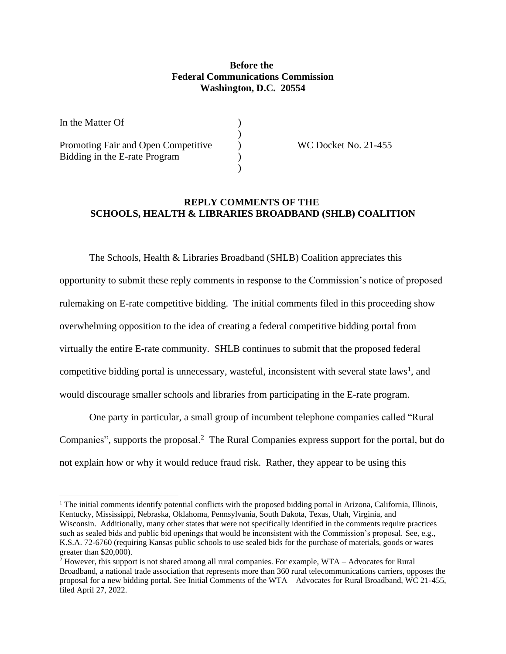## **Before the Federal Communications Commission Washington, D.C. 20554**

)

)

| In the Matter Of                                                     |  |
|----------------------------------------------------------------------|--|
| Promoting Fair and Open Competitive<br>Bidding in the E-rate Program |  |
|                                                                      |  |

Promotion Fair and Open Competitive Inc. 21-455

## **REPLY COMMENTS OF THE SCHOOLS, HEALTH & LIBRARIES BROADBAND (SHLB) COALITION**

The Schools, Health & Libraries Broadband (SHLB) Coalition appreciates this opportunity to submit these reply comments in response to the Commission's notice of proposed rulemaking on E-rate competitive bidding. The initial comments filed in this proceeding show overwhelming opposition to the idea of creating a federal competitive bidding portal from virtually the entire E-rate community. SHLB continues to submit that the proposed federal competitive bidding portal is unnecessary, wasteful, inconsistent with several state laws<sup>1</sup>, and would discourage smaller schools and libraries from participating in the E-rate program.

One party in particular, a small group of incumbent telephone companies called "Rural Companies", supports the proposal.<sup>2</sup> The Rural Companies express support for the portal, but do not explain how or why it would reduce fraud risk. Rather, they appear to be using this

<sup>&</sup>lt;sup>1</sup> The initial comments identify potential conflicts with the proposed bidding portal in Arizona, California, Illinois, Kentucky, Mississippi, Nebraska, Oklahoma, Pennsylvania, South Dakota, Texas, Utah, Virginia, and Wisconsin. Additionally, many other states that were not specifically identified in the comments require practices such as sealed bids and public bid openings that would be inconsistent with the Commission's proposal. See, e.g., K.S.A. 72-6760 (requiring Kansas public schools to use sealed bids for the purchase of materials, goods or wares greater than \$20,000).

 $^2$  However, this support is not shared among all rural companies. For example, WTA – Advocates for Rural Broadband, a national trade association that represents more than 360 rural telecommunications carriers, opposes the proposal for a new bidding portal. See Initial Comments of the WTA – Advocates for Rural Broadband, WC 21-455, filed April 27, 2022.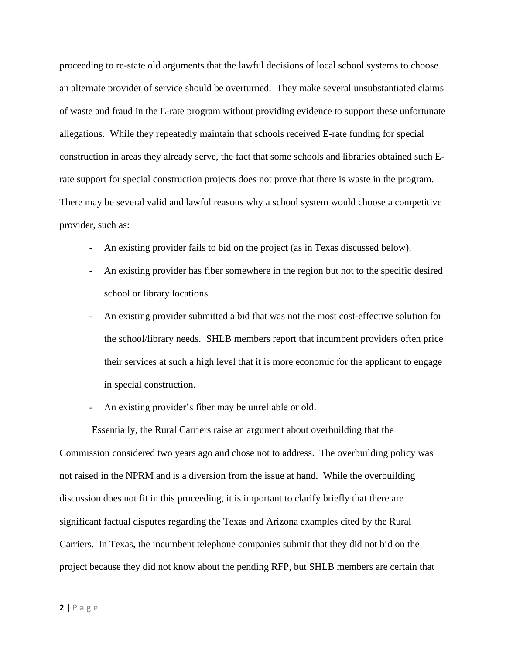proceeding to re-state old arguments that the lawful decisions of local school systems to choose an alternate provider of service should be overturned. They make several unsubstantiated claims of waste and fraud in the E-rate program without providing evidence to support these unfortunate allegations. While they repeatedly maintain that schools received E-rate funding for special construction in areas they already serve, the fact that some schools and libraries obtained such Erate support for special construction projects does not prove that there is waste in the program. There may be several valid and lawful reasons why a school system would choose a competitive provider, such as:

- An existing provider fails to bid on the project (as in Texas discussed below).
- An existing provider has fiber somewhere in the region but not to the specific desired school or library locations.
- An existing provider submitted a bid that was not the most cost-effective solution for the school/library needs. SHLB members report that incumbent providers often price their services at such a high level that it is more economic for the applicant to engage in special construction.
- An existing provider's fiber may be unreliable or old.

Essentially, the Rural Carriers raise an argument about overbuilding that the Commission considered two years ago and chose not to address. The overbuilding policy was not raised in the NPRM and is a diversion from the issue at hand. While the overbuilding discussion does not fit in this proceeding, it is important to clarify briefly that there are significant factual disputes regarding the Texas and Arizona examples cited by the Rural Carriers. In Texas, the incumbent telephone companies submit that they did not bid on the project because they did not know about the pending RFP, but SHLB members are certain that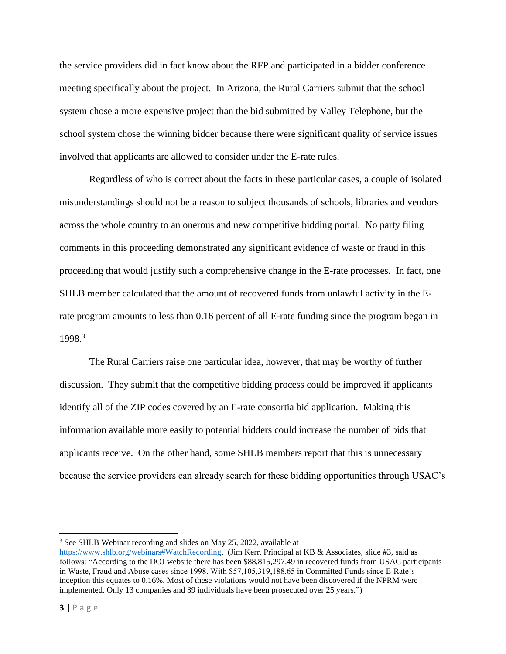the service providers did in fact know about the RFP and participated in a bidder conference meeting specifically about the project. In Arizona, the Rural Carriers submit that the school system chose a more expensive project than the bid submitted by Valley Telephone, but the school system chose the winning bidder because there were significant quality of service issues involved that applicants are allowed to consider under the E-rate rules.

Regardless of who is correct about the facts in these particular cases, a couple of isolated misunderstandings should not be a reason to subject thousands of schools, libraries and vendors across the whole country to an onerous and new competitive bidding portal. No party filing comments in this proceeding demonstrated any significant evidence of waste or fraud in this proceeding that would justify such a comprehensive change in the E-rate processes. In fact, one SHLB member calculated that the amount of recovered funds from unlawful activity in the Erate program amounts to less than 0.16 percent of all E-rate funding since the program began in 1998.<sup>3</sup>

The Rural Carriers raise one particular idea, however, that may be worthy of further discussion. They submit that the competitive bidding process could be improved if applicants identify all of the ZIP codes covered by an E-rate consortia bid application. Making this information available more easily to potential bidders could increase the number of bids that applicants receive. On the other hand, some SHLB members report that this is unnecessary because the service providers can already search for these bidding opportunities through USAC's

<sup>&</sup>lt;sup>3</sup> See SHLB Webinar recording and slides on May 25, 2022, available at

https://www.shlb.org/webinars#WatchRecording. (Jim Kerr, Principal at KB & Associates, slide #3, said as follows: "According to the DOJ website there has been \$88,815,297.49 in recovered funds from USAC participants in Waste, Fraud and Abuse cases since 1998. With \$57,105,319,188.65 in Committed Funds since E‐Rate's inception this equates to 0.16%. Most of these violations would not have been discovered if the NPRM were implemented. Only 13 companies and 39 individuals have been prosecuted over 25 years.")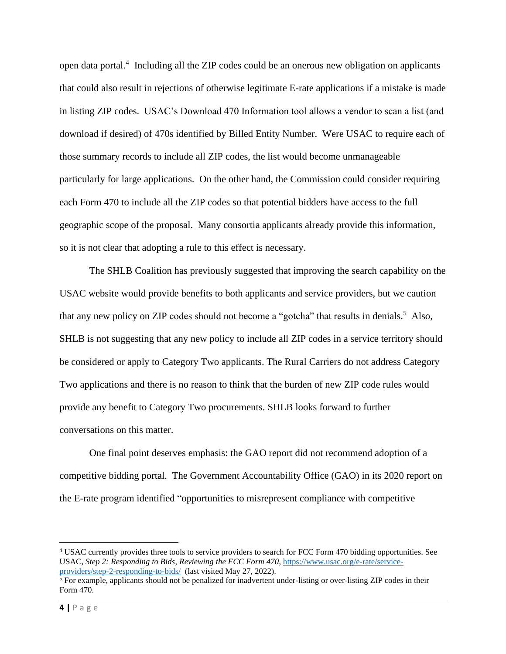open data portal.<sup>4</sup> Including all the ZIP codes could be an onerous new obligation on applicants that could also result in rejections of otherwise legitimate E-rate applications if a mistake is made in listing ZIP codes. USAC's Download 470 Information tool allows a vendor to scan a list (and download if desired) of 470s identified by Billed Entity Number. Were USAC to require each of those summary records to include all ZIP codes, the list would become unmanageable particularly for large applications. On the other hand, the Commission could consider requiring each Form 470 to include all the ZIP codes so that potential bidders have access to the full geographic scope of the proposal. Many consortia applicants already provide this information, so it is not clear that adopting a rule to this effect is necessary.

The SHLB Coalition has previously suggested that improving the search capability on the USAC website would provide benefits to both applicants and service providers, but we caution that any new policy on ZIP codes should not become a "gotcha" that results in denials.<sup>5</sup> Also, SHLB is not suggesting that any new policy to include all ZIP codes in a service territory should be considered or apply to Category Two applicants. The Rural Carriers do not address Category Two applications and there is no reason to think that the burden of new ZIP code rules would provide any benefit to Category Two procurements. SHLB looks forward to further conversations on this matter.

One final point deserves emphasis: the GAO report did not recommend adoption of a competitive bidding portal. The Government Accountability Office (GAO) in its 2020 report on the E-rate program identified "opportunities to misrepresent compliance with competitive

<sup>4</sup> USAC currently provides three tools to service providers to search for FCC Form 470 bidding opportunities. See USAC, *Step 2: Responding to Bids*, *Reviewing the FCC Form 470*, https://www.usac.org/e-rate/serviceproviders/step-2-responding-to-bids/ (last visited May 27, 2022).

 $<sup>5</sup>$  For example, applicants should not be penalized for inadvertent under-listing or over-listing ZIP codes in their</sup> Form 470.